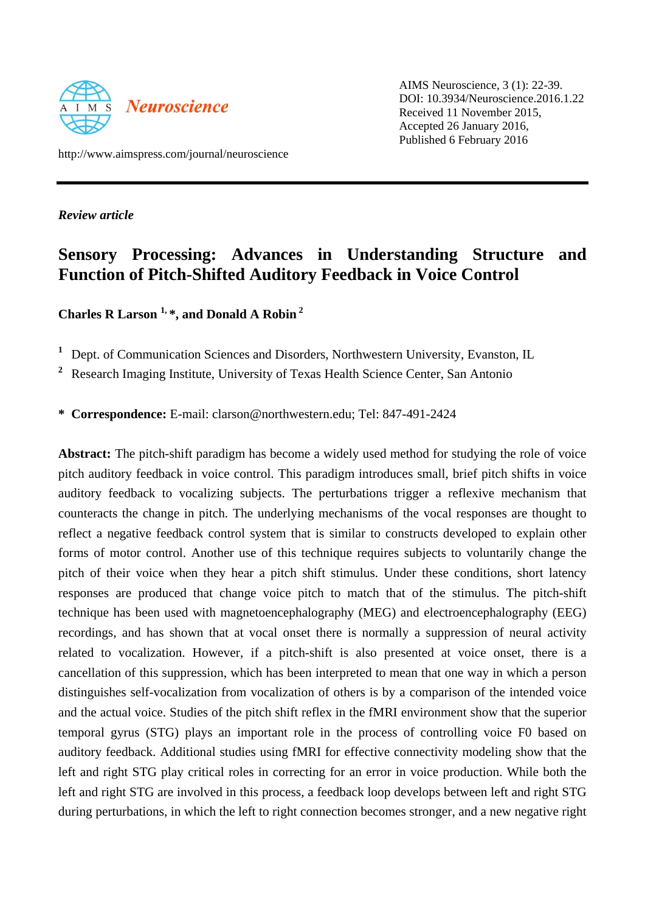

AIMS Neuroscience, 3 (1): 22-39. DOI: 10.3934/Neuroscience.2016.1.22 Received 11 November 2015, Accepted 26 January 2016, Published 6 February 2016

http://www.aimspress.com/journal/neuroscience

*Review article*

# **Sensory Processing: Advances in Understanding Structure and Function of Pitch-Shifted Auditory Feedback in Voice Control**

**Charles R Larson 1, \*, and Donald A Robin <sup>2</sup>**

**<sup>1</sup>** Dept. of Communication Sciences and Disorders, Northwestern University, Evanston, IL

**2** Research Imaging Institute, University of Texas Health Science Center, San Antonio

**\* Correspondence:** E-mail: [clarson@northwestern.edu;](mailto:clarson@northwestern.edu) Tel: 847-491-2424

**Abstract:** The pitch-shift paradigm has become a widely used method for studying the role of voice pitch auditory feedback in voice control. This paradigm introduces small, brief pitch shifts in voice auditory feedback to vocalizing subjects. The perturbations trigger a reflexive mechanism that counteracts the change in pitch. The underlying mechanisms of the vocal responses are thought to reflect a negative feedback control system that is similar to constructs developed to explain other forms of motor control. Another use of this technique requires subjects to voluntarily change the pitch of their voice when they hear a pitch shift stimulus. Under these conditions, short latency responses are produced that change voice pitch to match that of the stimulus. The pitch-shift technique has been used with magnetoencephalography (MEG) and electroencephalography (EEG) recordings, and has shown that at vocal onset there is normally a suppression of neural activity related to vocalization. However, if a pitch-shift is also presented at voice onset, there is a cancellation of this suppression, which has been interpreted to mean that one way in which a person distinguishes self-vocalization from vocalization of others is by a comparison of the intended voice and the actual voice. Studies of the pitch shift reflex in the fMRI environment show that the superior temporal gyrus (STG) plays an important role in the process of controlling voice F0 based on auditory feedback. Additional studies using fMRI for effective connectivity modeling show that the left and right STG play critical roles in correcting for an error in voice production. While both the left and right STG are involved in this process, a feedback loop develops between left and right STG during perturbations, in which the left to right connection becomes stronger, and a new negative right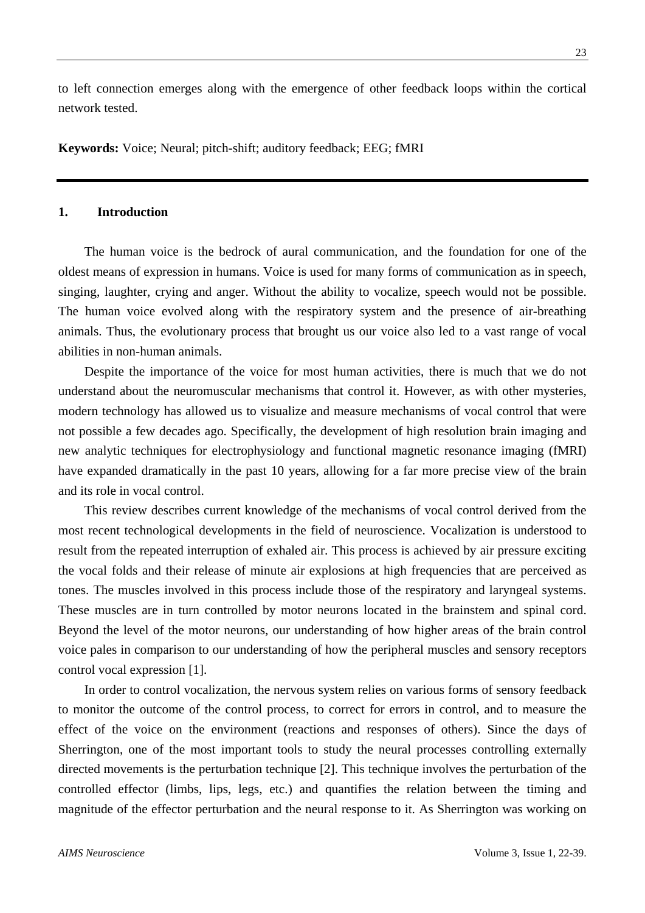to left connection emerges along with the emergence of other feedback loops within the cortical network tested.

**Keywords:** Voice; Neural; pitch-shift; auditory feedback; EEG; fMRI

# **1. Introduction**

The human voice is the bedrock of aural communication, and the foundation for one of the oldest means of expression in humans. Voice is used for many forms of communication as in speech, singing, laughter, crying and anger. Without the ability to vocalize, speech would not be possible. The human voice evolved along with the respiratory system and the presence of air-breathing animals. Thus, the evolutionary process that brought us our voice also led to a vast range of vocal abilities in non-human animals.

Despite the importance of the voice for most human activities, there is much that we do not understand about the neuromuscular mechanisms that control it. However, as with other mysteries, modern technology has allowed us to visualize and measure mechanisms of vocal control that were not possible a few decades ago. Specifically, the development of high resolution brain imaging and new analytic techniques for electrophysiology and functional magnetic resonance imaging (fMRI) have expanded dramatically in the past 10 years, allowing for a far more precise view of the brain and its role in vocal control.

This review describes current knowledge of the mechanisms of vocal control derived from the most recent technological developments in the field of neuroscience. Vocalization is understood to result from the repeated interruption of exhaled air. This process is achieved by air pressure exciting the vocal folds and their release of minute air explosions at high frequencies that are perceived as tones. The muscles involved in this process include those of the respiratory and laryngeal systems. These muscles are in turn controlled by motor neurons located in the brainstem and spinal cord. Beyond the level of the motor neurons, our understanding of how higher areas of the brain control voice pales in comparison to our understanding of how the peripheral muscles and sensory receptors control vocal expression [1].

In order to control vocalization, the nervous system relies on various forms of sensory feedback to monitor the outcome of the control process, to correct for errors in control, and to measure the effect of the voice on the environment (reactions and responses of others). Since the days of Sherrington, one of the most important tools to study the neural processes controlling externally directed movements is the perturbation technique [2]. This technique involves the perturbation of the controlled effector (limbs, lips, legs, etc.) and quantifies the relation between the timing and magnitude of the effector perturbation and the neural response to it. As Sherrington was working on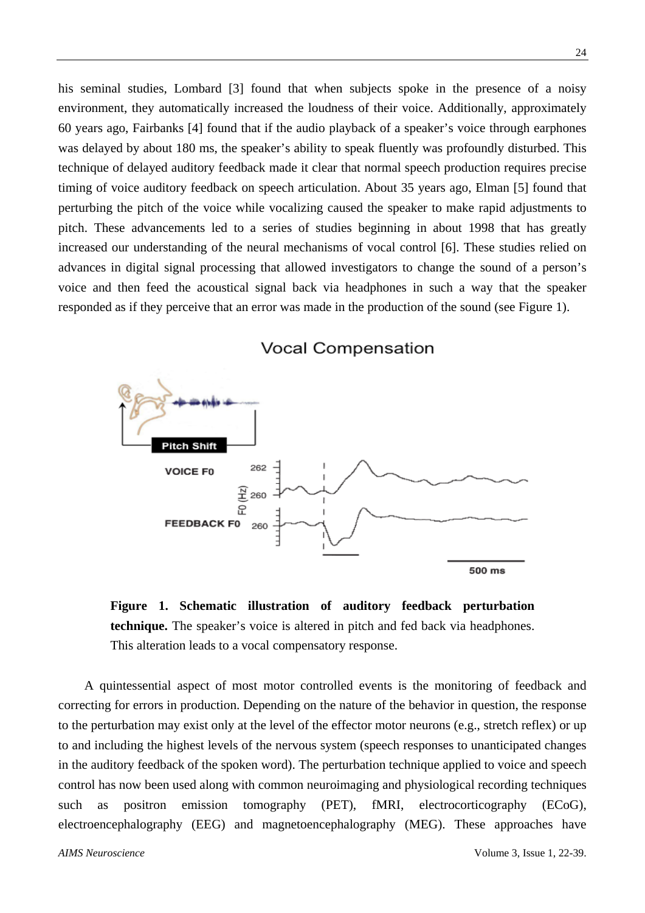his seminal studies, Lombard [3] found that when subjects spoke in the presence of a noisy environment, they automatically increased the loudness of their voice. Additionally, approximately 60 years ago, Fairbanks [4] found that if the audio playback of a speaker's voice through earphones was delayed by about 180 ms, the speaker's ability to speak fluently was profoundly disturbed. This technique of delayed auditory feedback made it clear that normal speech production requires precise timing of voice auditory feedback on speech articulation. About 35 years ago, Elman [5] found that perturbing the pitch of the voice while vocalizing caused the speaker to make rapid adjustments to pitch. These advancements led to a series of studies beginning in about 1998 that has greatly increased our understanding of the neural mechanisms of vocal control [6]. These studies relied on advances in digital signal processing that allowed investigators to change the sound of a person's voice and then feed the acoustical signal back via headphones in such a way that the speaker responded as if they perceive that an error was made in the production of the sound (see Figure 1).



**Vocal Compensation** 

**Figure 1. Schematic illustration of auditory feedback perturbation technique.** The speaker's voice is altered in pitch and fed back via headphones. This alteration leads to a vocal compensatory response.

A quintessential aspect of most motor controlled events is the monitoring of feedback and correcting for errors in production. Depending on the nature of the behavior in question, the response to the perturbation may exist only at the level of the effector motor neurons (e.g., stretch reflex) or up to and including the highest levels of the nervous system (speech responses to unanticipated changes in the auditory feedback of the spoken word). The perturbation technique applied to voice and speech control has now been used along with common neuroimaging and physiological recording techniques such as positron emission tomography (PET), fMRI, electrocorticography (ECoG), electroencephalography (EEG) and magnetoencephalography (MEG). These approaches have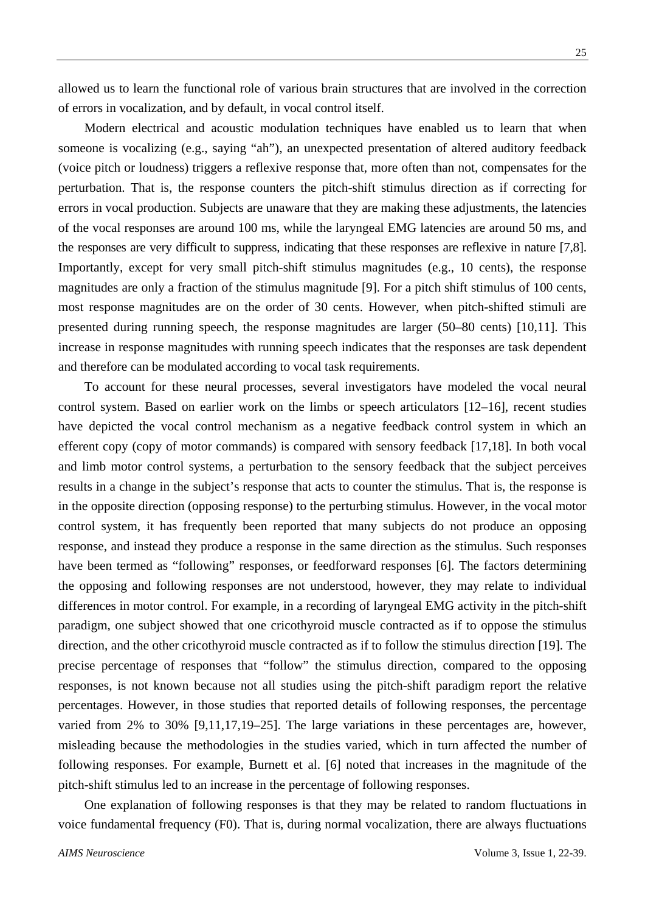allowed us to learn the functional role of various brain structures that are involved in the correction of errors in vocalization, and by default, in vocal control itself.

Modern electrical and acoustic modulation techniques have enabled us to learn that when someone is vocalizing (e.g., saying "ah"), an unexpected presentation of altered auditory feedback (voice pitch or loudness) triggers a reflexive response that, more often than not, compensates for the perturbation. That is, the response counters the pitch-shift stimulus direction as if correcting for errors in vocal production. Subjects are unaware that they are making these adjustments, the latencies of the vocal responses are around 100 ms, while the laryngeal EMG latencies are around 50 ms, and the responses are very difficult to suppress, indicating that these responses are reflexive in nature [7,8]. Importantly, except for very small pitch-shift stimulus magnitudes (e.g., 10 cents), the response magnitudes are only a fraction of the stimulus magnitude [9]. For a pitch shift stimulus of 100 cents, most response magnitudes are on the order of 30 cents. However, when pitch-shifted stimuli are presented during running speech, the response magnitudes are larger (50–80 cents) [10,11]. This increase in response magnitudes with running speech indicates that the responses are task dependent and therefore can be modulated according to vocal task requirements.

To account for these neural processes, several investigators have modeled the vocal neural control system. Based on earlier work on the limbs or speech articulators [12–16], recent studies have depicted the vocal control mechanism as a negative feedback control system in which an efferent copy (copy of motor commands) is compared with sensory feedback [17,18]. In both vocal and limb motor control systems, a perturbation to the sensory feedback that the subject perceives results in a change in the subject's response that acts to counter the stimulus. That is, the response is in the opposite direction (opposing response) to the perturbing stimulus. However, in the vocal motor control system, it has frequently been reported that many subjects do not produce an opposing response, and instead they produce a response in the same direction as the stimulus. Such responses have been termed as "following" responses, or feedforward responses [6]. The factors determining the opposing and following responses are not understood, however, they may relate to individual differences in motor control. For example, in a recording of laryngeal EMG activity in the pitch-shift paradigm, one subject showed that one cricothyroid muscle contracted as if to oppose the stimulus direction, and the other cricothyroid muscle contracted as if to follow the stimulus direction [19]. The precise percentage of responses that "follow" the stimulus direction, compared to the opposing responses, is not known because not all studies using the pitch-shift paradigm report the relative percentages. However, in those studies that reported details of following responses, the percentage varied from 2% to 30% [9,11,17,19–25]. The large variations in these percentages are, however, misleading because the methodologies in the studies varied, which in turn affected the number of following responses. For example, Burnett et al. [6] noted that increases in the magnitude of the pitch-shift stimulus led to an increase in the percentage of following responses.

One explanation of following responses is that they may be related to random fluctuations in voice fundamental frequency (F0). That is, during normal vocalization, there are always fluctuations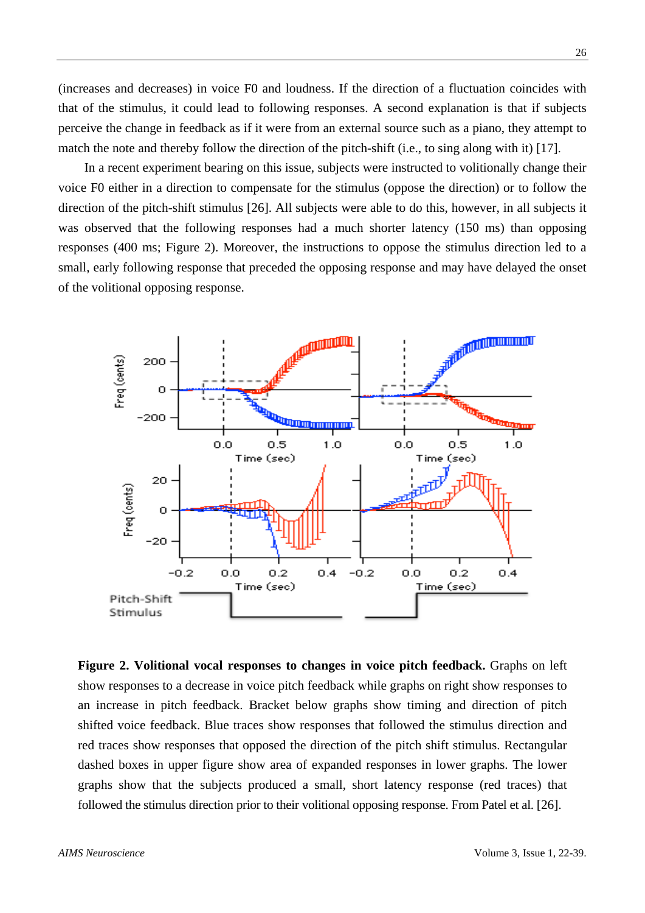(increases and decreases) in voice F0 and loudness. If the direction of a fluctuation coincides with that of the stimulus, it could lead to following responses. A second explanation is that if subjects perceive the change in feedback as if it were from an external source such as a piano, they attempt to match the note and thereby follow the direction of the pitch-shift (i.e., to sing along with it) [17].

In a recent experiment bearing on this issue, subjects were instructed to volitionally change their voice F0 either in a direction to compensate for the stimulus (oppose the direction) or to follow the direction of the pitch-shift stimulus [26]. All subjects were able to do this, however, in all subjects it was observed that the following responses had a much shorter latency (150 ms) than opposing responses (400 ms; Figure 2). Moreover, the instructions to oppose the stimulus direction led to a small, early following response that preceded the opposing response and may have delayed the onset of the volitional opposing response.



**Figure 2. Volitional vocal responses to changes in voice pitch feedback.** Graphs on left show responses to a decrease in voice pitch feedback while graphs on right show responses to an increase in pitch feedback. Bracket below graphs show timing and direction of pitch shifted voice feedback. Blue traces show responses that followed the stimulus direction and red traces show responses that opposed the direction of the pitch shift stimulus. Rectangular dashed boxes in upper figure show area of expanded responses in lower graphs. The lower graphs show that the subjects produced a small, short latency response (red traces) that followed the stimulus direction prior to their volitional opposing response. From Patel et al. [26].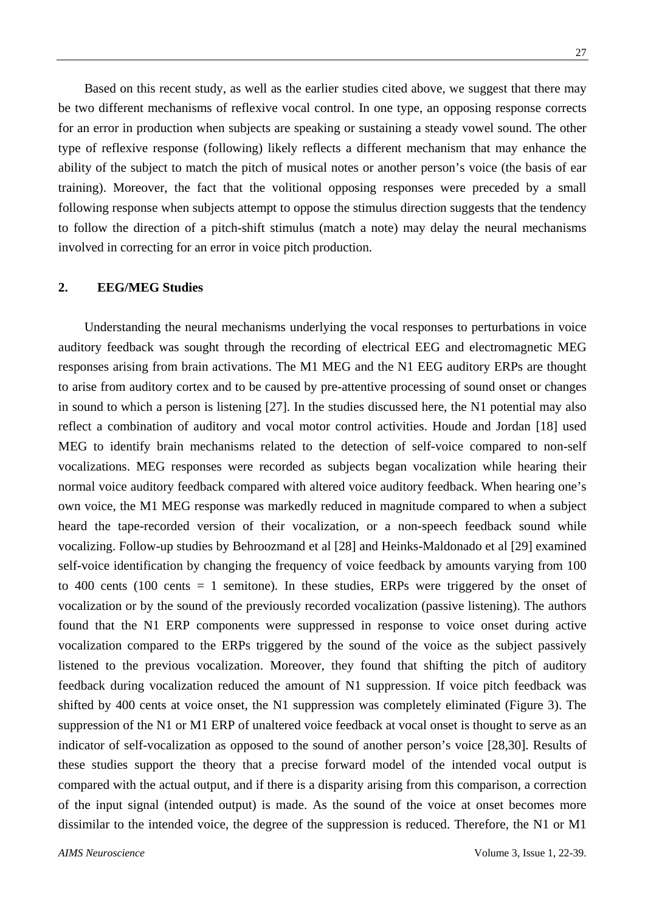Based on this recent study, as well as the earlier studies cited above, we suggest that there may be two different mechanisms of reflexive vocal control. In one type, an opposing response corrects for an error in production when subjects are speaking or sustaining a steady vowel sound. The other type of reflexive response (following) likely reflects a different mechanism that may enhance the ability of the subject to match the pitch of musical notes or another person's voice (the basis of ear training). Moreover, the fact that the volitional opposing responses were preceded by a small following response when subjects attempt to oppose the stimulus direction suggests that the tendency to follow the direction of a pitch-shift stimulus (match a note) may delay the neural mechanisms involved in correcting for an error in voice pitch production.

#### **2. EEG/MEG Studies**

Understanding the neural mechanisms underlying the vocal responses to perturbations in voice auditory feedback was sought through the recording of electrical EEG and electromagnetic MEG responses arising from brain activations. The M1 MEG and the N1 EEG auditory ERPs are thought to arise from auditory cortex and to be caused by pre-attentive processing of sound onset or changes in sound to which a person is listening [27]. In the studies discussed here, the N1 potential may also reflect a combination of auditory and vocal motor control activities. Houde and Jordan [18] used MEG to identify brain mechanisms related to the detection of self-voice compared to non-self vocalizations. MEG responses were recorded as subjects began vocalization while hearing their normal voice auditory feedback compared with altered voice auditory feedback. When hearing one's own voice, the M1 MEG response was markedly reduced in magnitude compared to when a subject heard the tape-recorded version of their vocalization, or a non-speech feedback sound while vocalizing. Follow-up studies by Behroozmand et al [28] and Heinks-Maldonado et al [29] examined self-voice identification by changing the frequency of voice feedback by amounts varying from 100 to 400 cents (100 cents  $= 1$  semitone). In these studies, ERPs were triggered by the onset of vocalization or by the sound of the previously recorded vocalization (passive listening). The authors found that the N1 ERP components were suppressed in response to voice onset during active vocalization compared to the ERPs triggered by the sound of the voice as the subject passively listened to the previous vocalization. Moreover, they found that shifting the pitch of auditory feedback during vocalization reduced the amount of N1 suppression. If voice pitch feedback was shifted by 400 cents at voice onset, the N1 suppression was completely eliminated (Figure 3). The suppression of the N1 or M1 ERP of unaltered voice feedback at vocal onset is thought to serve as an indicator of self-vocalization as opposed to the sound of another person's voice [28,30]. Results of these studies support the theory that a precise forward model of the intended vocal output is compared with the actual output, and if there is a disparity arising from this comparison, a correction of the input signal (intended output) is made. As the sound of the voice at onset becomes more dissimilar to the intended voice, the degree of the suppression is reduced. Therefore, the N1 or M1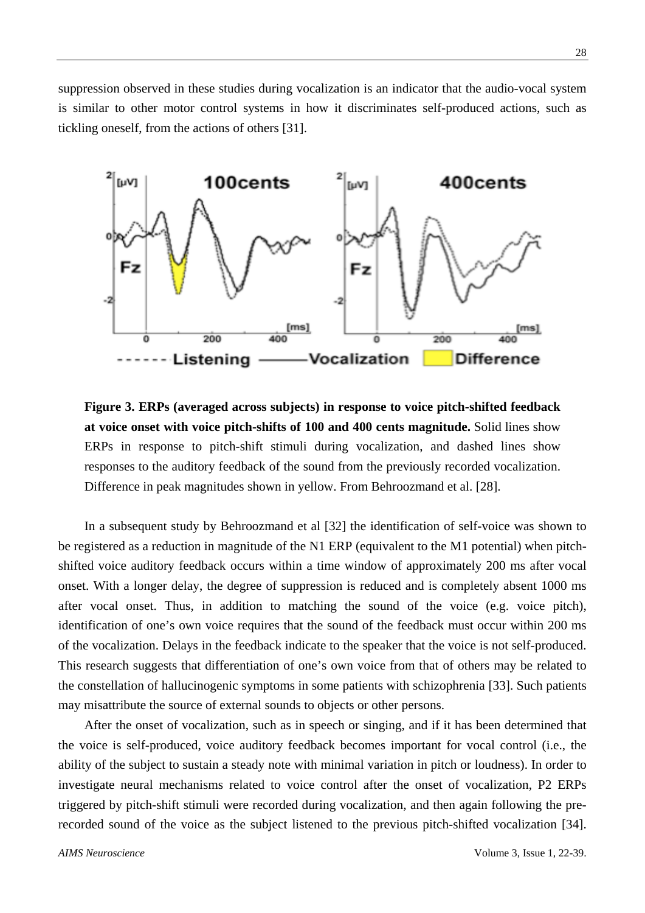suppression observed in these studies during vocalization is an indicator that the audio-vocal system is similar to other motor control systems in how it discriminates self-produced actions, such as tickling oneself, from the actions of others [31].



**Figure 3. ERPs (averaged across subjects) in response to voice pitch-shifted feedback at voice onset with voice pitch-shifts of 100 and 400 cents magnitude.** Solid lines show ERPs in response to pitch-shift stimuli during vocalization, and dashed lines show responses to the auditory feedback of the sound from the previously recorded vocalization. Difference in peak magnitudes shown in yellow. From Behroozmand et al. [28].

In a subsequent study by Behroozmand et al [32] the identification of self-voice was shown to be registered as a reduction in magnitude of the N1 ERP (equivalent to the M1 potential) when pitchshifted voice auditory feedback occurs within a time window of approximately 200 ms after vocal onset. With a longer delay, the degree of suppression is reduced and is completely absent 1000 ms after vocal onset. Thus, in addition to matching the sound of the voice (e.g. voice pitch), identification of one's own voice requires that the sound of the feedback must occur within 200 ms of the vocalization. Delays in the feedback indicate to the speaker that the voice is not self-produced. This research suggests that differentiation of one's own voice from that of others may be related to the constellation of hallucinogenic symptoms in some patients with schizophrenia [33]. Such patients may misattribute the source of external sounds to objects or other persons.

After the onset of vocalization, such as in speech or singing, and if it has been determined that the voice is self-produced, voice auditory feedback becomes important for vocal control (i.e., the ability of the subject to sustain a steady note with minimal variation in pitch or loudness). In order to investigate neural mechanisms related to voice control after the onset of vocalization, P2 ERPs triggered by pitch-shift stimuli were recorded during vocalization, and then again following the prerecorded sound of the voice as the subject listened to the previous pitch-shifted vocalization [34].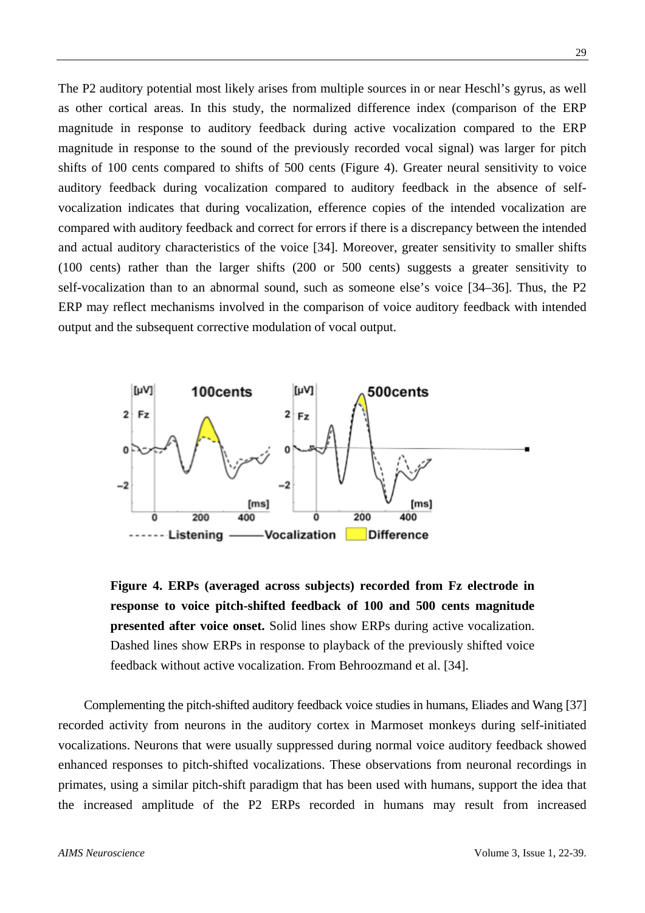The P2 auditory potential most likely arises from multiple sources in or near Heschl's gyrus, as well as other cortical areas. In this study, the normalized difference index (comparison of the ERP magnitude in response to auditory feedback during active vocalization compared to the ERP magnitude in response to the sound of the previously recorded vocal signal) was larger for pitch shifts of 100 cents compared to shifts of 500 cents (Figure 4). Greater neural sensitivity to voice auditory feedback during vocalization compared to auditory feedback in the absence of selfvocalization indicates that during vocalization, efference copies of the intended vocalization are compared with auditory feedback and correct for errors if there is a discrepancy between the intended and actual auditory characteristics of the voice [34]. Moreover, greater sensitivity to smaller shifts (100 cents) rather than the larger shifts (200 or 500 cents) suggests a greater sensitivity to self-vocalization than to an abnormal sound, such as someone else's voice [34–36]. Thus, the P2 ERP may reflect mechanisms involved in the comparison of voice auditory feedback with intended output and the subsequent corrective modulation of vocal output.



**Figure 4. ERPs (averaged across subjects) recorded from Fz electrode in response to voice pitch-shifted feedback of 100 and 500 cents magnitude presented after voice onset.** Solid lines show ERPs during active vocalization. Dashed lines show ERPs in response to playback of the previously shifted voice feedback without active vocalization. From Behroozmand et al. [34].

Complementing the pitch-shifted auditory feedback voice studies in humans, Eliades and Wang [37] recorded activity from neurons in the auditory cortex in Marmoset monkeys during self-initiated vocalizations. Neurons that were usually suppressed during normal voice auditory feedback showed enhanced responses to pitch-shifted vocalizations. These observations from neuronal recordings in primates, using a similar pitch-shift paradigm that has been used with humans, support the idea that the increased amplitude of the P2 ERPs recorded in humans may result from increased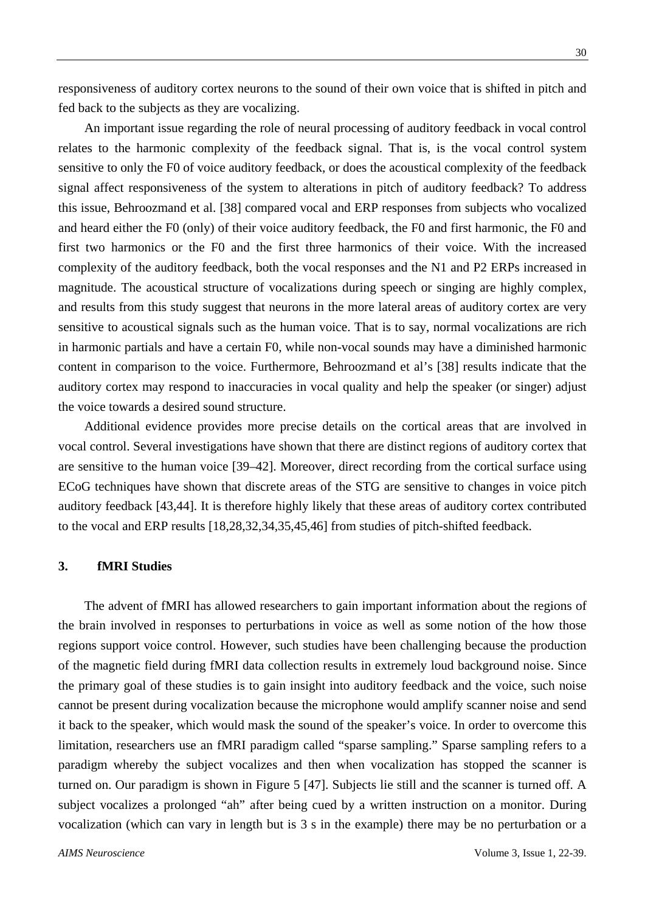responsiveness of auditory cortex neurons to the sound of their own voice that is shifted in pitch and fed back to the subjects as they are vocalizing.

An important issue regarding the role of neural processing of auditory feedback in vocal control relates to the harmonic complexity of the feedback signal. That is, is the vocal control system sensitive to only the F0 of voice auditory feedback, or does the acoustical complexity of the feedback signal affect responsiveness of the system to alterations in pitch of auditory feedback? To address this issue, Behroozmand et al. [38] compared vocal and ERP responses from subjects who vocalized and heard either the F0 (only) of their voice auditory feedback, the F0 and first harmonic, the F0 and first two harmonics or the F0 and the first three harmonics of their voice. With the increased complexity of the auditory feedback, both the vocal responses and the N1 and P2 ERPs increased in magnitude. The acoustical structure of vocalizations during speech or singing are highly complex, and results from this study suggest that neurons in the more lateral areas of auditory cortex are very sensitive to acoustical signals such as the human voice. That is to say, normal vocalizations are rich in harmonic partials and have a certain F0, while non-vocal sounds may have a diminished harmonic content in comparison to the voice. Furthermore, Behroozmand et al's [38] results indicate that the auditory cortex may respond to inaccuracies in vocal quality and help the speaker (or singer) adjust the voice towards a desired sound structure.

Additional evidence provides more precise details on the cortical areas that are involved in vocal control. Several investigations have shown that there are distinct regions of auditory cortex that are sensitive to the human voice [39–42]. Moreover, direct recording from the cortical surface using ECoG techniques have shown that discrete areas of the STG are sensitive to changes in voice pitch auditory feedback [43,44]. It is therefore highly likely that these areas of auditory cortex contributed to the vocal and ERP results [18,28,32,34,35,45,46] from studies of pitch-shifted feedback.

#### **3. fMRI Studies**

The advent of fMRI has allowed researchers to gain important information about the regions of the brain involved in responses to perturbations in voice as well as some notion of the how those regions support voice control. However, such studies have been challenging because the production of the magnetic field during fMRI data collection results in extremely loud background noise. Since the primary goal of these studies is to gain insight into auditory feedback and the voice, such noise cannot be present during vocalization because the microphone would amplify scanner noise and send it back to the speaker, which would mask the sound of the speaker's voice. In order to overcome this limitation, researchers use an fMRI paradigm called "sparse sampling." Sparse sampling refers to a paradigm whereby the subject vocalizes and then when vocalization has stopped the scanner is turned on. Our paradigm is shown in Figure 5 [47]. Subjects lie still and the scanner is turned off. A subject vocalizes a prolonged "ah" after being cued by a written instruction on a monitor. During vocalization (which can vary in length but is 3 s in the example) there may be no perturbation or a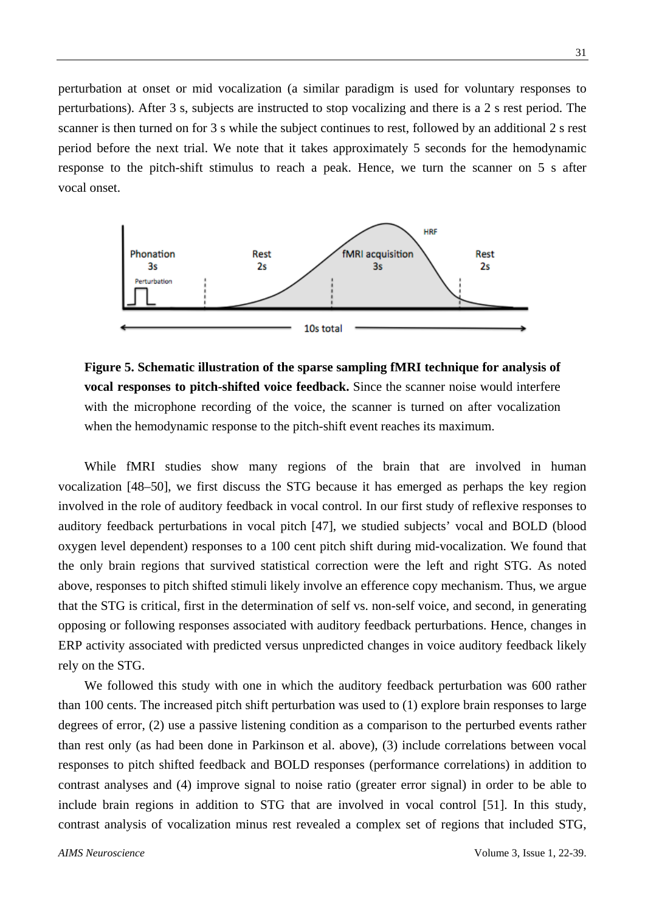perturbation at onset or mid vocalization (a similar paradigm is used for voluntary responses to perturbations). After 3 s, subjects are instructed to stop vocalizing and there is a 2 s rest period. The scanner is then turned on for 3 s while the subject continues to rest, followed by an additional 2 s rest period before the next trial. We note that it takes approximately 5 seconds for the hemodynamic response to the pitch-shift stimulus to reach a peak. Hence, we turn the scanner on 5 s after vocal onset.



**Figure 5. Schematic illustration of the sparse sampling fMRI technique for analysis of vocal responses to pitch-shifted voice feedback.** Since the scanner noise would interfere with the microphone recording of the voice, the scanner is turned on after vocalization when the hemodynamic response to the pitch-shift event reaches its maximum.

While fMRI studies show many regions of the brain that are involved in human vocalization [48–50], we first discuss the STG because it has emerged as perhaps the key region involved in the role of auditory feedback in vocal control. In our first study of reflexive responses to auditory feedback perturbations in vocal pitch [47], we studied subjects' vocal and BOLD (blood oxygen level dependent) responses to a 100 cent pitch shift during mid-vocalization. We found that the only brain regions that survived statistical correction were the left and right STG. As noted above, responses to pitch shifted stimuli likely involve an efference copy mechanism. Thus, we argue that the STG is critical, first in the determination of self vs. non-self voice, and second, in generating opposing or following responses associated with auditory feedback perturbations. Hence, changes in ERP activity associated with predicted versus unpredicted changes in voice auditory feedback likely rely on the STG.

We followed this study with one in which the auditory feedback perturbation was 600 rather than 100 cents. The increased pitch shift perturbation was used to (1) explore brain responses to large degrees of error, (2) use a passive listening condition as a comparison to the perturbed events rather than rest only (as had been done in Parkinson et al. above), (3) include correlations between vocal responses to pitch shifted feedback and BOLD responses (performance correlations) in addition to contrast analyses and (4) improve signal to noise ratio (greater error signal) in order to be able to include brain regions in addition to STG that are involved in vocal control [51]. In this study, contrast analysis of vocalization minus rest revealed a complex set of regions that included STG,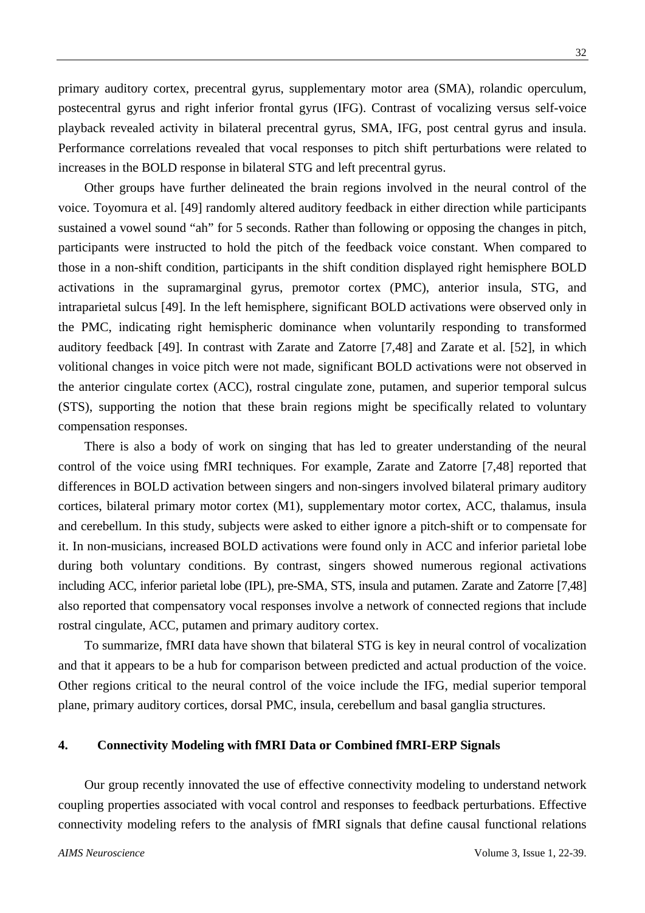primary auditory cortex, precentral gyrus, supplementary motor area (SMA), rolandic operculum, postecentral gyrus and right inferior frontal gyrus (IFG). Contrast of vocalizing versus self-voice playback revealed activity in bilateral precentral gyrus, SMA, IFG, post central gyrus and insula. Performance correlations revealed that vocal responses to pitch shift perturbations were related to increases in the BOLD response in bilateral STG and left precentral gyrus.

Other groups have further delineated the brain regions involved in the neural control of the voice. Toyomura et al. [49] randomly altered auditory feedback in either direction while participants sustained a vowel sound "ah" for 5 seconds. Rather than following or opposing the changes in pitch, participants were instructed to hold the pitch of the feedback voice constant. When compared to those in a non-shift condition, participants in the shift condition displayed right hemisphere BOLD activations in the supramarginal gyrus, premotor cortex (PMC), anterior insula, STG, and intraparietal sulcus [49]. In the left hemisphere, significant BOLD activations were observed only in the PMC, indicating right hemispheric dominance when voluntarily responding to transformed auditory feedback [49]. In contrast with Zarate and Zatorre [7,48] and Zarate et al. [52], in which volitional changes in voice pitch were not made, significant BOLD activations were not observed in the anterior cingulate cortex (ACC), rostral cingulate zone, putamen, and superior temporal sulcus (STS), supporting the notion that these brain regions might be specifically related to voluntary compensation responses.

There is also a body of work on singing that has led to greater understanding of the neural control of the voice using fMRI techniques. For example, Zarate and Zatorre [7,48] reported that differences in BOLD activation between singers and non-singers involved bilateral primary auditory cortices, bilateral primary motor cortex (M1), supplementary motor cortex, ACC, thalamus, insula and cerebellum. In this study, subjects were asked to either ignore a pitch-shift or to compensate for it. In non-musicians, increased BOLD activations were found only in ACC and inferior parietal lobe during both voluntary conditions. By contrast, singers showed numerous regional activations including ACC, inferior parietal lobe (IPL), pre-SMA, STS, insula and putamen. Zarate and Zatorre [7,48] also reported that compensatory vocal responses involve a network of connected regions that include rostral cingulate, ACC, putamen and primary auditory cortex.

To summarize, fMRI data have shown that bilateral STG is key in neural control of vocalization and that it appears to be a hub for comparison between predicted and actual production of the voice. Other regions critical to the neural control of the voice include the IFG, medial superior temporal plane, primary auditory cortices, dorsal PMC, insula, cerebellum and basal ganglia structures.

## **4. Connectivity Modeling with fMRI Data or Combined fMRI-ERP Signals**

Our group recently innovated the use of effective connectivity modeling to understand network coupling properties associated with vocal control and responses to feedback perturbations. Effective connectivity modeling refers to the analysis of fMRI signals that define causal functional relations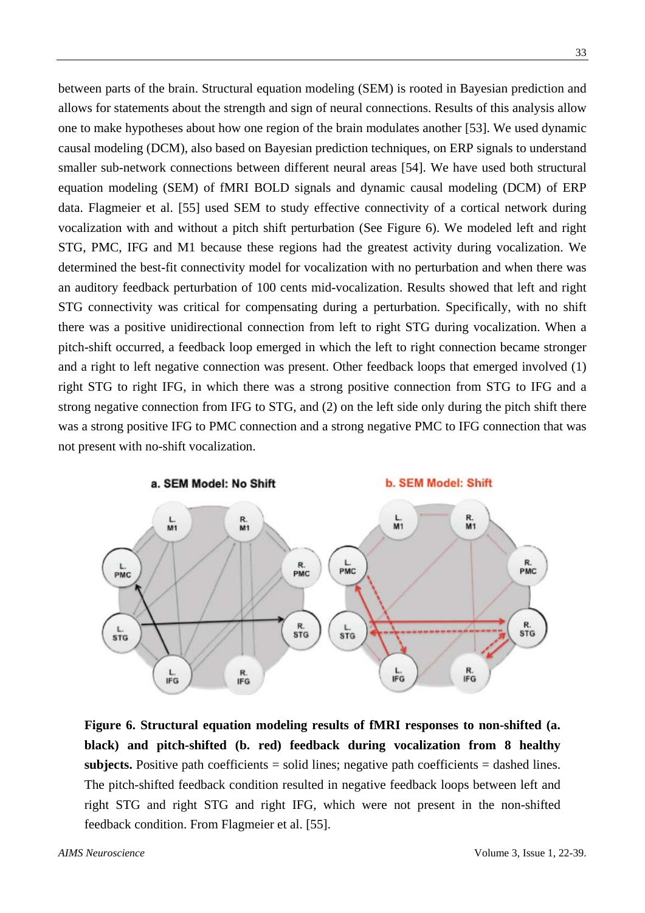between parts of the brain. Structural equation modeling (SEM) is rooted in Bayesian prediction and allows for statements about the strength and sign of neural connections. Results of this analysis allow one to make hypotheses about how one region of the brain modulates another [53]. We used dynamic causal modeling (DCM), also based on Bayesian prediction techniques, on ERP signals to understand smaller sub-network connections between different neural areas [54]. We have used both structural equation modeling (SEM) of fMRI BOLD signals and dynamic causal modeling (DCM) of ERP data. Flagmeier et al. [55] used SEM to study effective connectivity of a cortical network during vocalization with and without a pitch shift perturbation (See Figure 6). We modeled left and right STG, PMC, IFG and M1 because these regions had the greatest activity during vocalization. We determined the best-fit connectivity model for vocalization with no perturbation and when there was an auditory feedback perturbation of 100 cents mid-vocalization. Results showed that left and right STG connectivity was critical for compensating during a perturbation. Specifically, with no shift there was a positive unidirectional connection from left to right STG during vocalization. When a pitch-shift occurred, a feedback loop emerged in which the left to right connection became stronger and a right to left negative connection was present. Other feedback loops that emerged involved (1) right STG to right IFG, in which there was a strong positive connection from STG to IFG and a strong negative connection from IFG to STG, and (2) on the left side only during the pitch shift there was a strong positive IFG to PMC connection and a strong negative PMC to IFG connection that was not present with no-shift vocalization.



**Figure 6. Structural equation modeling results of fMRI responses to non-shifted (a. black) and pitch-shifted (b. red) feedback during vocalization from 8 healthy subjects.** Positive path coefficients  $=$  solid lines; negative path coefficients  $=$  dashed lines. The pitch-shifted feedback condition resulted in negative feedback loops between left and right STG and right STG and right IFG, which were not present in the non-shifted feedback condition. From Flagmeier et al. [55].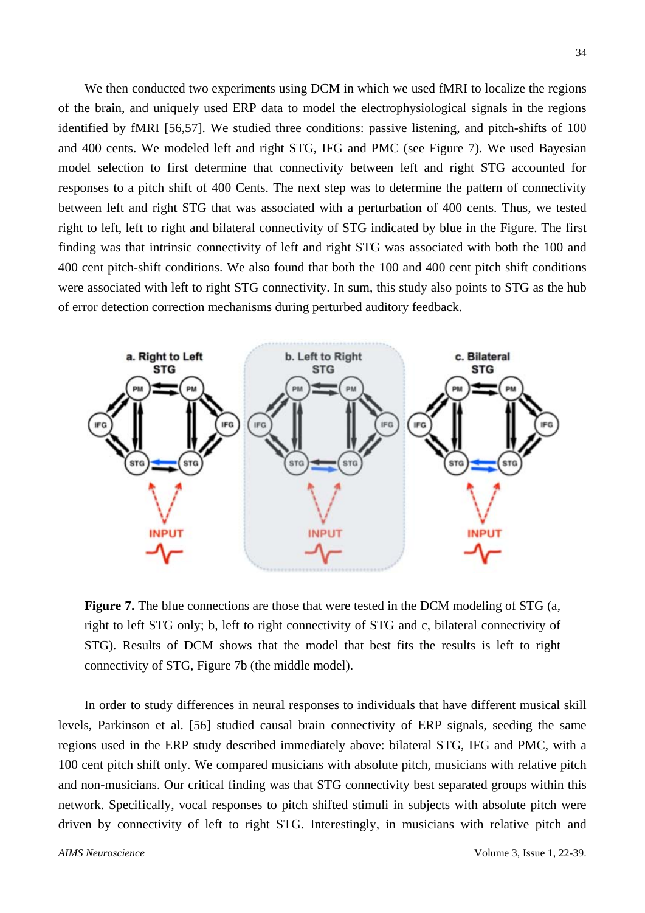We then conducted two experiments using DCM in which we used fMRI to localize the regions of the brain, and uniquely used ERP data to model the electrophysiological signals in the regions identified by fMRI [56,57]. We studied three conditions: passive listening, and pitch-shifts of 100 and 400 cents. We modeled left and right STG, IFG and PMC (see Figure 7). We used Bayesian model selection to first determine that connectivity between left and right STG accounted for responses to a pitch shift of 400 Cents. The next step was to determine the pattern of connectivity between left and right STG that was associated with a perturbation of 400 cents. Thus, we tested right to left, left to right and bilateral connectivity of STG indicated by blue in the Figure. The first finding was that intrinsic connectivity of left and right STG was associated with both the 100 and 400 cent pitch-shift conditions. We also found that both the 100 and 400 cent pitch shift conditions were associated with left to right STG connectivity. In sum, this study also points to STG as the hub of error detection correction mechanisms during perturbed auditory feedback.



**Figure 7.** The blue connections are those that were tested in the DCM modeling of STG (a, right to left STG only; b, left to right connectivity of STG and c, bilateral connectivity of STG). Results of DCM shows that the model that best fits the results is left to right connectivity of STG, Figure 7b (the middle model).

In order to study differences in neural responses to individuals that have different musical skill levels, Parkinson et al. [56] studied causal brain connectivity of ERP signals, seeding the same regions used in the ERP study described immediately above: bilateral STG, IFG and PMC, with a 100 cent pitch shift only. We compared musicians with absolute pitch, musicians with relative pitch and non-musicians. Our critical finding was that STG connectivity best separated groups within this network. Specifically, vocal responses to pitch shifted stimuli in subjects with absolute pitch were driven by connectivity of left to right STG. Interestingly, in musicians with relative pitch and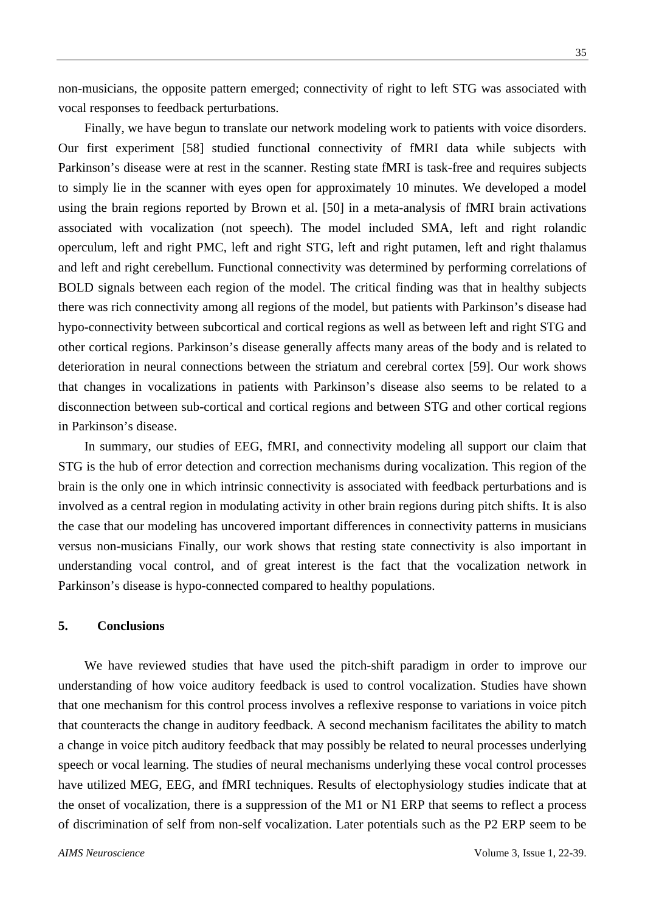non-musicians, the opposite pattern emerged; connectivity of right to left STG was associated with vocal responses to feedback perturbations.

Finally, we have begun to translate our network modeling work to patients with voice disorders. Our first experiment [58] studied functional connectivity of fMRI data while subjects with Parkinson's disease were at rest in the scanner. Resting state fMRI is task-free and requires subjects to simply lie in the scanner with eyes open for approximately 10 minutes. We developed a model using the brain regions reported by Brown et al. [50] in a meta-analysis of fMRI brain activations associated with vocalization (not speech). The model included SMA, left and right rolandic operculum, left and right PMC, left and right STG, left and right putamen, left and right thalamus and left and right cerebellum. Functional connectivity was determined by performing correlations of BOLD signals between each region of the model. The critical finding was that in healthy subjects there was rich connectivity among all regions of the model, but patients with Parkinson's disease had hypo-connectivity between subcortical and cortical regions as well as between left and right STG and other cortical regions. Parkinson's disease generally affects many areas of the body and is related to deterioration in neural connections between the striatum and cerebral cortex [59]. Our work shows that changes in vocalizations in patients with Parkinson's disease also seems to be related to a disconnection between sub-cortical and cortical regions and between STG and other cortical regions in Parkinson's disease.

In summary, our studies of EEG, fMRI, and connectivity modeling all support our claim that STG is the hub of error detection and correction mechanisms during vocalization. This region of the brain is the only one in which intrinsic connectivity is associated with feedback perturbations and is involved as a central region in modulating activity in other brain regions during pitch shifts. It is also the case that our modeling has uncovered important differences in connectivity patterns in musicians versus non-musicians Finally, our work shows that resting state connectivity is also important in understanding vocal control, and of great interest is the fact that the vocalization network in Parkinson's disease is hypo-connected compared to healthy populations.

## **5. Conclusions**

We have reviewed studies that have used the pitch-shift paradigm in order to improve our understanding of how voice auditory feedback is used to control vocalization. Studies have shown that one mechanism for this control process involves a reflexive response to variations in voice pitch that counteracts the change in auditory feedback. A second mechanism facilitates the ability to match a change in voice pitch auditory feedback that may possibly be related to neural processes underlying speech or vocal learning. The studies of neural mechanisms underlying these vocal control processes have utilized MEG, EEG, and fMRI techniques. Results of electophysiology studies indicate that at the onset of vocalization, there is a suppression of the M1 or N1 ERP that seems to reflect a process of discrimination of self from non-self vocalization. Later potentials such as the P2 ERP seem to be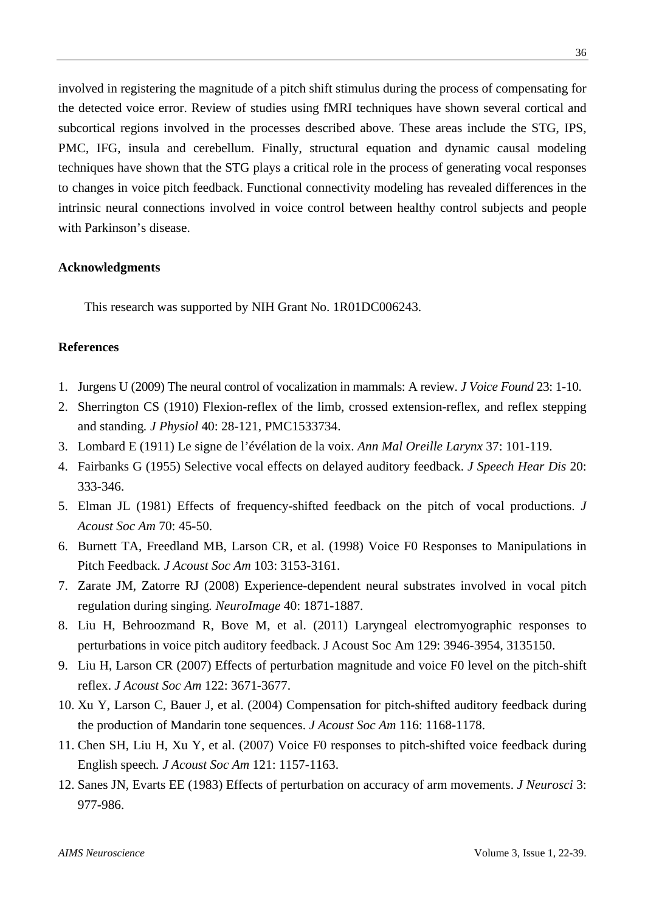involved in registering the magnitude of a pitch shift stimulus during the process of compensating for the detected voice error. Review of studies using fMRI techniques have shown several cortical and subcortical regions involved in the processes described above. These areas include the STG, IPS, PMC, IFG, insula and cerebellum. Finally, structural equation and dynamic causal modeling techniques have shown that the STG plays a critical role in the process of generating vocal responses to changes in voice pitch feedback. Functional connectivity modeling has revealed differences in the intrinsic neural connections involved in voice control between healthy control subjects and people with Parkinson's disease.

## **Acknowledgments**

This research was supported by NIH Grant No. 1R01DC006243.

# **References**

- 1. Jurgens U (2009) The neural control of vocalization in mammals: A review. *J Voice Found* 23: 1-10.
- 2. Sherrington CS (1910) Flexion-reflex of the limb, crossed extension-reflex, and reflex stepping and standing*. J Physiol* 40: 28-121, PMC1533734.
- 3. Lombard E (1911) Le signe de l'évélation de la voix. *Ann Mal Oreille Larynx* 37: 101-119.
- 4. Fairbanks G (1955) Selective vocal effects on delayed auditory feedback. *J Speech Hear Dis* 20: 333-346.
- 5. Elman JL (1981) Effects of frequency-shifted feedback on the pitch of vocal productions. *J Acoust Soc Am* 70: 45-50.
- 6. Burnett TA, Freedland MB, Larson CR, et al. (1998) Voice F0 Responses to Manipulations in Pitch Feedback*. J Acoust Soc Am* 103: 3153-3161.
- 7. Zarate JM, Zatorre RJ (2008) Experience-dependent neural substrates involved in vocal pitch regulation during singing*. NeuroImage* 40: 1871-1887.
- 8. Liu H, Behroozmand R, Bove M, et al. (2011) Laryngeal electromyographic responses to perturbations in voice pitch auditory feedback. J Acoust Soc Am 129: 3946-3954, 3135150.
- 9. Liu H, Larson CR (2007) Effects of perturbation magnitude and voice F0 level on the pitch-shift reflex. *J Acoust Soc Am* 122: 3671-3677.
- 10. Xu Y, Larson C, Bauer J, et al. (2004) Compensation for pitch-shifted auditory feedback during the production of Mandarin tone sequences. *J Acoust Soc Am* 116: 1168-1178.
- 11. Chen SH, Liu H, Xu Y, et al. (2007) Voice F0 responses to pitch-shifted voice feedback during English speech*. J Acoust Soc Am* 121: 1157-1163.
- 12. Sanes JN, Evarts EE (1983) Effects of perturbation on accuracy of arm movements. *J Neurosci* 3: 977-986.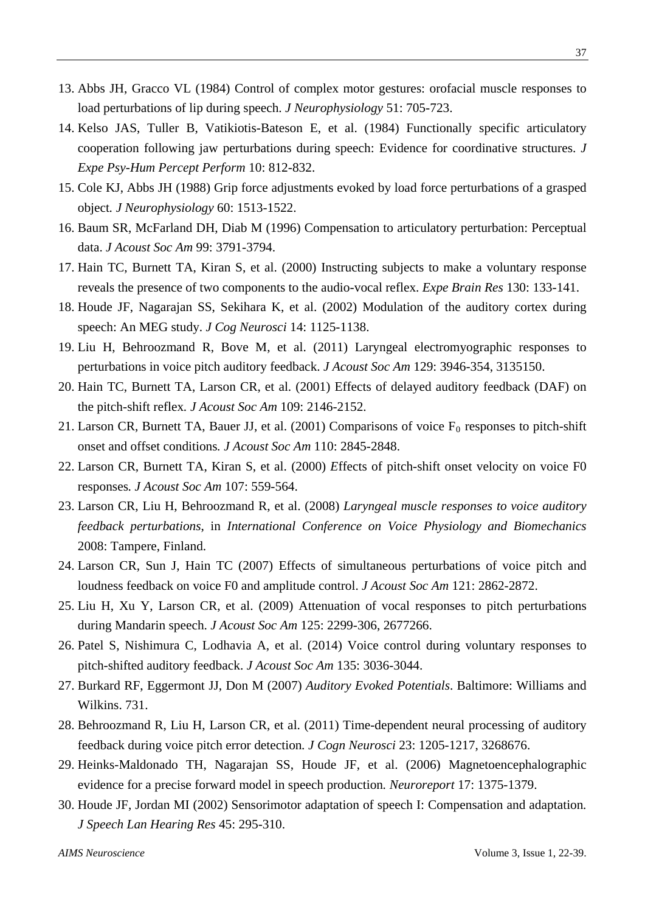- 13. Abbs JH, Gracco VL (1984) Control of complex motor gestures: orofacial muscle responses to load perturbations of lip during speech. *J Neurophysiology* 51: 705-723.
- 14. Kelso JAS, Tuller B, Vatikiotis-Bateson E, et al. (1984) Functionally specific articulatory cooperation following jaw perturbations during speech: Evidence for coordinative structures. *J Expe Psy-Hum Percept Perform* 10: 812-832.
- 15. Cole KJ, Abbs JH (1988) Grip force adjustments evoked by load force perturbations of a grasped object*. J Neurophysiology* 60: 1513-1522.
- 16. Baum SR, McFarland DH, Diab M (1996) Compensation to articulatory perturbation: Perceptual data. *J Acoust Soc Am* 99: 3791-3794.
- 17. Hain TC, Burnett TA, Kiran S, et al. (2000) Instructing subjects to make a voluntary response reveals the presence of two components to the audio-vocal reflex. *Expe Brain Res* 130: 133-141.
- 18. Houde JF, Nagarajan SS, Sekihara K, et al. (2002) Modulation of the auditory cortex during speech: An MEG study. *J Cog Neurosci* 14: 1125-1138.
- 19. Liu H, Behroozmand R, Bove M, et al. (2011) Laryngeal electromyographic responses to perturbations in voice pitch auditory feedback. *J Acoust Soc Am* 129: 3946-354, 3135150.
- 20. Hain TC, Burnett TA, Larson CR, et al. (2001) Effects of delayed auditory feedback (DAF) on the pitch-shift reflex*. J Acoust Soc Am* 109: 2146-2152.
- 21. Larson CR, Burnett TA, Bauer JJ, et al. (2001) Comparisons of voice  $F_0$  responses to pitch-shift onset and offset conditions*. J Acoust Soc Am* 110: 2845-2848.
- 22. Larson CR, Burnett TA, Kiran S, et al. (2000) *E*ffects of pitch-shift onset velocity on voice F0 responses*. J Acoust Soc Am* 107: 559-564.
- 23. Larson CR, Liu H, Behroozmand R, et al. (2008) *Laryngeal muscle responses to voice auditory feedback perturbations*, in *International Conference on Voice Physiology and Biomechanics* 2008: Tampere, Finland.
- 24. Larson CR, Sun J, Hain TC (2007) Effects of simultaneous perturbations of voice pitch and loudness feedback on voice F0 and amplitude control. *J Acoust Soc Am* 121: 2862-2872.
- 25. Liu H, Xu Y, Larson CR, et al. (2009) Attenuation of vocal responses to pitch perturbations during Mandarin speech. *J Acoust Soc Am* 125: 2299-306, 2677266.
- 26. Patel S, Nishimura C, Lodhavia A, et al. (2014) Voice control during voluntary responses to pitch-shifted auditory feedback. *J Acoust Soc Am* 135: 3036-3044.
- 27. Burkard RF, Eggermont JJ, Don M (2007) *Auditory Evoked Potentials*. Baltimore: Williams and Wilkins. 731.
- 28. Behroozmand R, Liu H, Larson CR, et al. (2011) Time-dependent neural processing of auditory feedback during voice pitch error detection*. J Cogn Neurosci* 23: 1205-1217, 3268676.
- 29. Heinks-Maldonado TH, Nagarajan SS, Houde JF, et al. (2006) Magnetoencephalographic evidence for a precise forward model in speech production*. Neuroreport* 17: 1375-1379.
- 30. Houde JF, Jordan MI (2002) Sensorimotor adaptation of speech I: Compensation and adaptation*. J Speech Lan Hearing Res* 45: 295-310.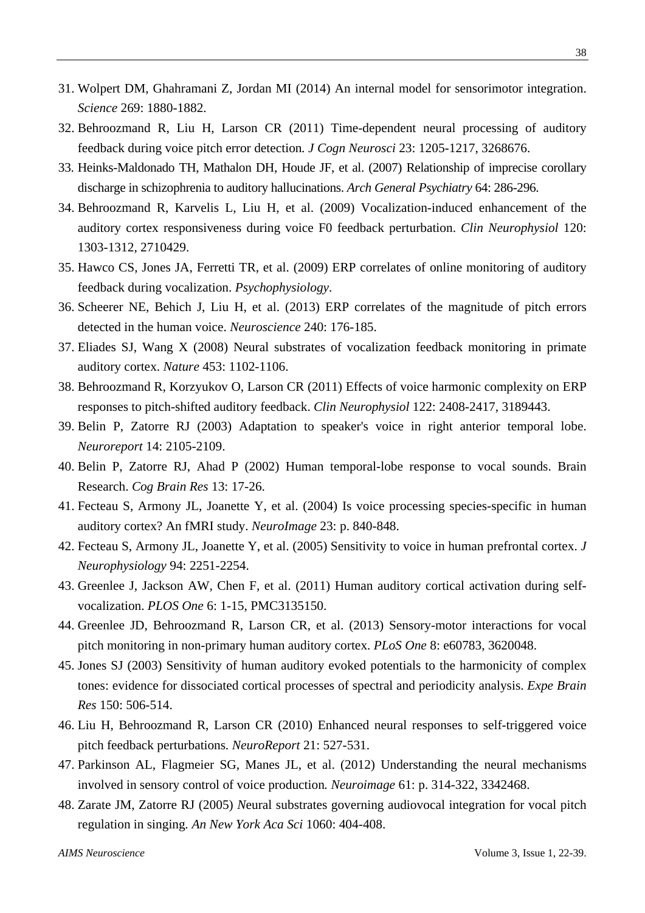- 31. Wolpert DM, Ghahramani Z, Jordan MI (2014) An internal model for sensorimotor integration. *Science* 269: 1880-1882.
- 32. Behroozmand R, Liu H, Larson CR (2011) Time-dependent neural processing of auditory feedback during voice pitch error detection*. J Cogn Neurosci* 23: 1205-1217, 3268676.
- 33. Heinks-Maldonado TH, Mathalon DH, Houde JF, et al. (2007) Relationship of imprecise corollary discharge in schizophrenia to auditory hallucinations. *Arch General Psychiatry* 64: 286-296.
- 34. Behroozmand R, Karvelis L, Liu H, et al. (2009) Vocalization-induced enhancement of the auditory cortex responsiveness during voice F0 feedback perturbation. *Clin Neurophysiol* 120: 1303-1312, 2710429.
- 35. Hawco CS, Jones JA, Ferretti TR, et al. (2009) ERP correlates of online monitoring of auditory feedback during vocalization. *Psychophysiology*.
- 36. Scheerer NE, Behich J, Liu H, et al. (2013) ERP correlates of the magnitude of pitch errors detected in the human voice. *Neuroscience* 240: 176-185.
- 37. Eliades SJ, Wang X (2008) Neural substrates of vocalization feedback monitoring in primate auditory cortex. *Nature* 453: 1102-1106.
- 38. Behroozmand R, Korzyukov O, Larson CR (2011) Effects of voice harmonic complexity on ERP responses to pitch-shifted auditory feedback. *Clin Neurophysiol* 122: 2408-2417, 3189443.
- 39. Belin P, Zatorre RJ (2003) Adaptation to speaker's voice in right anterior temporal lobe. *Neuroreport* 14: 2105-2109.
- 40. Belin P, Zatorre RJ, Ahad P (2002) Human temporal-lobe response to vocal sounds. Brain Research. *Cog Brain Res* 13: 17-26.
- 41. Fecteau S, Armony JL, Joanette Y, et al. (2004) Is voice processing species-specific in human auditory cortex? An fMRI study. *NeuroImage* 23: p. 840-848.
- 42. Fecteau S, Armony JL, Joanette Y, et al. (2005) Sensitivity to voice in human prefrontal cortex. *J Neurophysiology* 94: 2251-2254.
- 43. Greenlee J, Jackson AW, Chen F, et al. (2011) Human auditory cortical activation during selfvocalization. *PLOS One* 6: 1-15, PMC3135150.
- 44. Greenlee JD, Behroozmand R, Larson CR, et al. (2013) Sensory-motor interactions for vocal pitch monitoring in non-primary human auditory cortex. *PLoS One* 8: e60783, 3620048.
- 45. Jones SJ (2003) Sensitivity of human auditory evoked potentials to the harmonicity of complex tones: evidence for dissociated cortical processes of spectral and periodicity analysis. *Expe Brain Res* 150: 506-514.
- 46. Liu H, Behroozmand R, Larson CR (2010) Enhanced neural responses to self-triggered voice pitch feedback perturbations*. NeuroReport* 21: 527-531.
- 47. Parkinson AL, Flagmeier SG, Manes JL, et al. (2012) Understanding the neural mechanisms involved in sensory control of voice production*. Neuroimage* 61: p. 314-322, 3342468.
- 48. Zarate JM, Zatorre RJ (2005) *N*eural substrates governing audiovocal integration for vocal pitch regulation in singing*. An New York Aca Sci* 1060: 404-408.